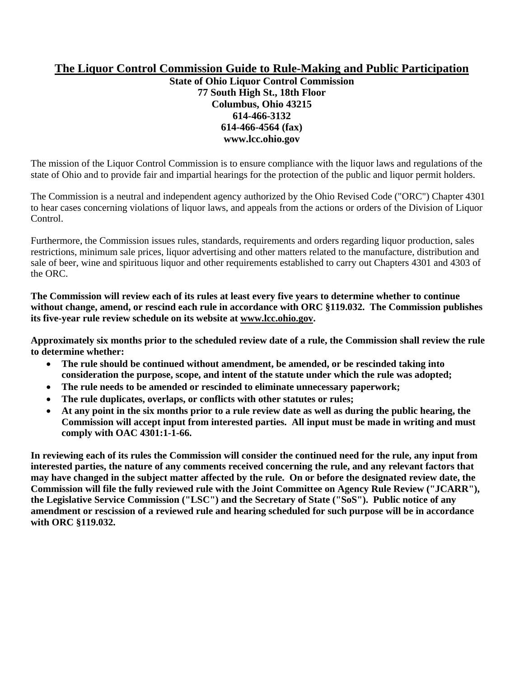## **The Liquor Control Commission Guide to Rule-Making and Public Participation**

**State of Ohio Liquor Control Commission 77 South High St., 18th Floor Columbus, Ohio 43215 614-466-3132 614-466-4564 (fax) www.lcc.ohio.gov** 

The mission of the Liquor Control Commission is to ensure compliance with the liquor laws and regulations of the state of Ohio and to provide fair and impartial hearings for the protection of the public and liquor permit holders.

The Commission is a neutral and independent agency authorized by the Ohio Revised Code ("ORC") Chapter 4301 to hear cases concerning violations of liquor laws, and appeals from the actions or orders of the Division of Liquor Control.

Furthermore, the Commission issues rules, standards, requirements and orders regarding liquor production, sales restrictions, minimum sale prices, liquor advertising and other matters related to the manufacture, distribution and sale of beer, wine and spirituous liquor and other requirements established to carry out Chapters 4301 and 4303 of the ORC.

**The Commission will review each of its rules at least every five years to determine whether to continue without change, amend, or rescind each rule in accordance with ORC §119.032. The Commission publishes its five-year rule review schedule on its website at www.lcc.ohio.gov.** 

**Approximately six months prior to the scheduled review date of a rule, the Commission shall review the rule to determine whether:** 

- **The rule should be continued without amendment, be amended, or be rescinded taking into consideration the purpose, scope, and intent of the statute under which the rule was adopted;**
- **The rule needs to be amended or rescinded to eliminate unnecessary paperwork;**
- **The rule duplicates, overlaps, or conflicts with other statutes or rules;**
- **At any point in the six months prior to a rule review date as well as during the public hearing, the Commission will accept input from interested parties. All input must be made in writing and must comply with OAC 4301:1-1-66.**

**In reviewing each of its rules the Commission will consider the continued need for the rule, any input from interested parties, the nature of any comments received concerning the rule, and any relevant factors that may have changed in the subject matter affected by the rule. On or before the designated review date, the Commission will file the fully reviewed rule with the Joint Committee on Agency Rule Review ("JCARR"), the Legislative Service Commission ("LSC") and the Secretary of State ("SoS"). Public notice of any amendment or rescission of a reviewed rule and hearing scheduled for such purpose will be in accordance with ORC §119.032.**